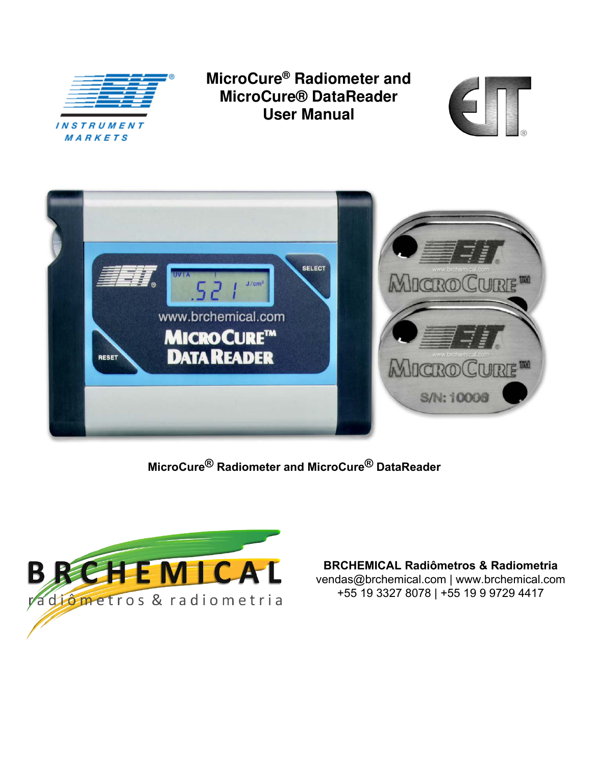

MARKETS

**MicroCure® Radiometer and MicroCure® DataReader User Manual** 





**MicroCure® Radiometer and MicroCure® DataReader** 



**BRCHEMICAL Radiômetros & Radiometria** vendas@brchemical.com | www.brchemical.com +55 19 3327 8078 | +55 19 9 9729 4417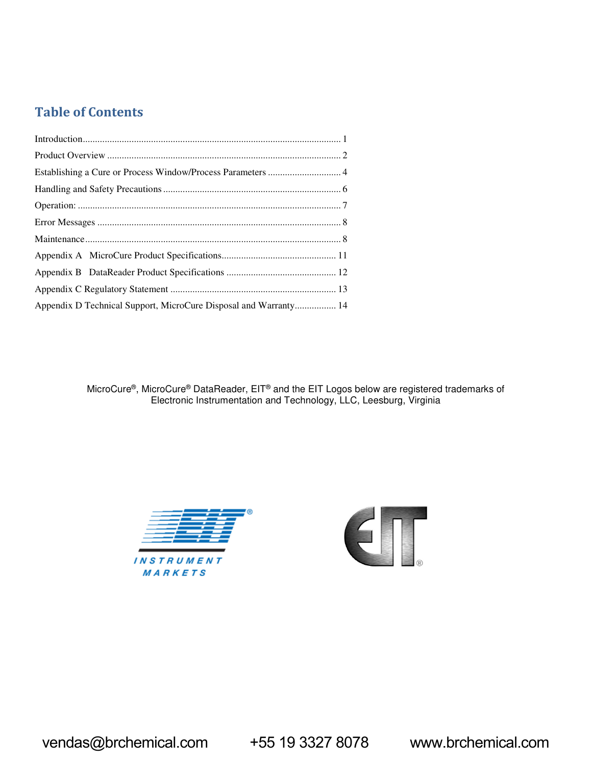# **Table of Contents**

| Appendix D Technical Support, MicroCure Disposal and Warranty 14 |  |  |
|------------------------------------------------------------------|--|--|

MicroCure®, MicroCure® DataReader, EIT® and the EIT Logos below are registered trademarks of Electronic Instrumentation and Technology, LLC, Leesburg, Virginia



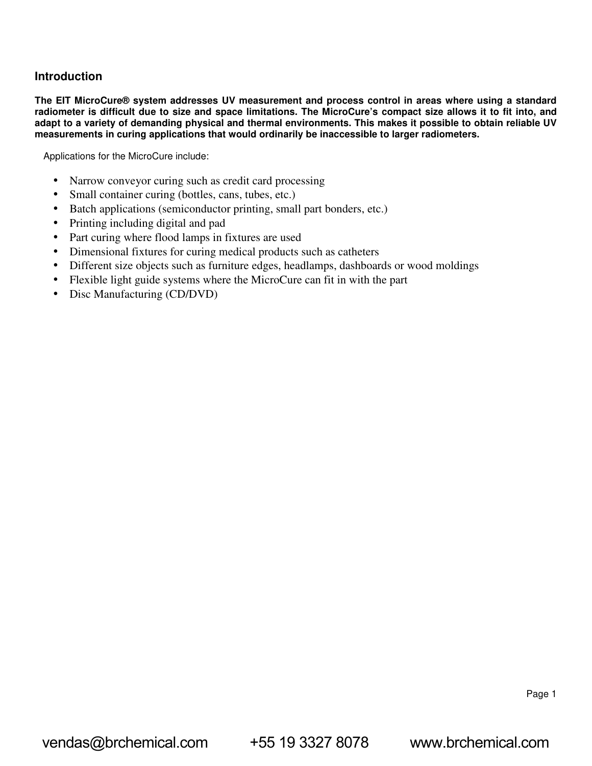## **Introduction**

**The EIT MicroCure® system addresses UV measurement and process control in areas where using a standard radiometer is difficult due to size and space limitations. The MicroCure's compact size allows it to fit into, and adapt to a variety of demanding physical and thermal environments. This makes it possible to obtain reliable UV measurements in curing applications that would ordinarily be inaccessible to larger radiometers.** 

Applications for the MicroCure include:

- Narrow conveyor curing such as credit card processing
- Small container curing (bottles, cans, tubes, etc.)
- Batch applications (semiconductor printing, small part bonders, etc.)
- Printing including digital and pad
- Part curing where flood lamps in fixtures are used
- Dimensional fixtures for curing medical products such as catheters
- Different size objects such as furniture edges, headlamps, dashboards or wood moldings
- Flexible light guide systems where the MicroCure can fit in with the part
- Disc Manufacturing (CD/DVD)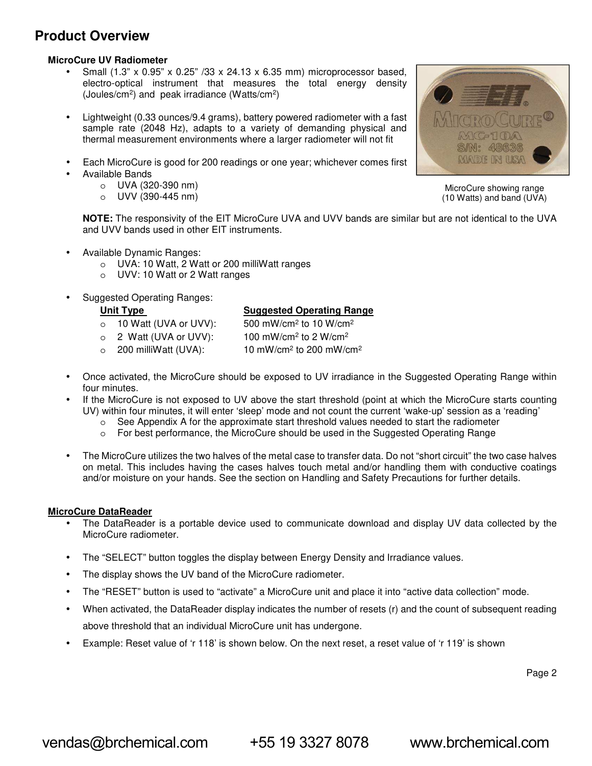# **Product Overview**

## **MicroCure UV Radiometer**

- Small (1.3" x 0.95" x 0.25" /33 x 24.13 x 6.35 mm) microprocessor based, electro-optical instrument that measures the total energy density (Joules/cm<sup>2</sup> ) and peak irradiance (Watts/cm<sup>2</sup> )
- Lightweight (0.33 ounces/9.4 grams), battery powered radiometer with a fast sample rate (2048 Hz), adapts to a variety of demanding physical and thermal measurement environments where a larger radiometer will not fit
- Each MicroCure is good for 200 readings or one year; whichever comes first
- Available Bands
	- o UVA (320-390 nm)
	- o UVV (390-445 nm)

ICROU. MC-TOA **S/N: 48636 MALDE IN USA** 

> MicroCure showing range (10 Watts) and band (UVA)

**NOTE:** The responsivity of the EIT MicroCure UVA and UVV bands are similar but are not identical to the UVA and UVV bands used in other EIT instruments.

- Available Dynamic Ranges:
	- o UVA: 10 Watt, 2 Watt or 200 milliWatt ranges
	- o UVV: 10 Watt or 2 Watt ranges
- Suggested Operating Ranges:

## **Unit Type Suggested Operating Range**

500 mW/cm<sup>2</sup> to 10 W/cm<sup>2</sup>

- $\circ$  10 Watt (UVA or UVV):
- $\circ$  2 Watt (UVA or UVV):
- 100 mW/cm<sup>2</sup> to 2 W/cm<sup>2</sup>  $\circ$  200 milliWatt (UVA): 10 mW/cm<sup>2</sup> to 200 mW/cm<sup>2</sup>
- Once activated, the MicroCure should be exposed to UV irradiance in the Suggested Operating Range within four minutes.
- If the MicroCure is not exposed to UV above the start threshold (point at which the MicroCure starts counting UV) within four minutes, it will enter 'sleep' mode and not count the current 'wake-up' session as a 'reading'
	- $\circ$  See Appendix A for the approximate start threshold values needed to start the radiometer
	- $\circ$  For best performance, the MicroCure should be used in the Suggested Operating Range
- The MicroCure utilizes the two halves of the metal case to transfer data. Do not "short circuit" the two case halves on metal. This includes having the cases halves touch metal and/or handling them with conductive coatings and/or moisture on your hands. See the section on Handling and Safety Precautions for further details.

## **MicroCure DataReader**

- The DataReader is a portable device used to communicate download and display UV data collected by the MicroCure radiometer
- The "SELECT" button toggles the display between Energy Density and Irradiance values.
- The display shows the UV band of the MicroCure radiometer.
- The "RESET" button is used to "activate" a MicroCure unit and place it into "active data collection" mode.
- When activated, the DataReader display indicates the number of resets (r) and the count of subsequent reading above threshold that an individual MicroCure unit has undergone.
- Example: Reset value of 'r 118' is shown below. On the next reset, a reset value of 'r 119' is shown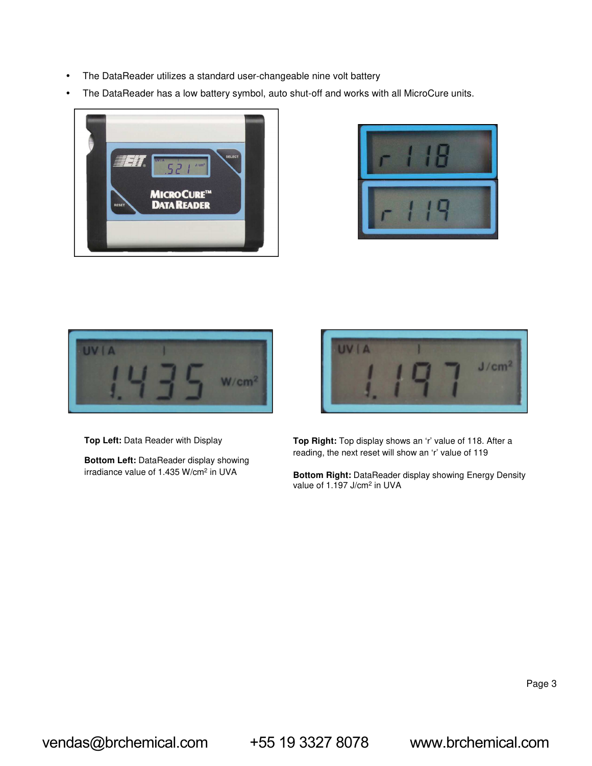- The DataReader utilizes a standard user-changeable nine volt battery
- The DataReader has a low battery symbol, auto shut-off and works with all MicroCure units.









**Bottom Left:** DataReader display showing irradiance value of 1.435 W/cm<sup>2</sup> in UVA



**Top Right:** Top display shows an 'r' value of 118. After a reading, the next reset will show an 'r' value of 119

**Bottom Right:** DataReader display showing Energy Density value of 1.197 J/cm<sup>2</sup> in UVA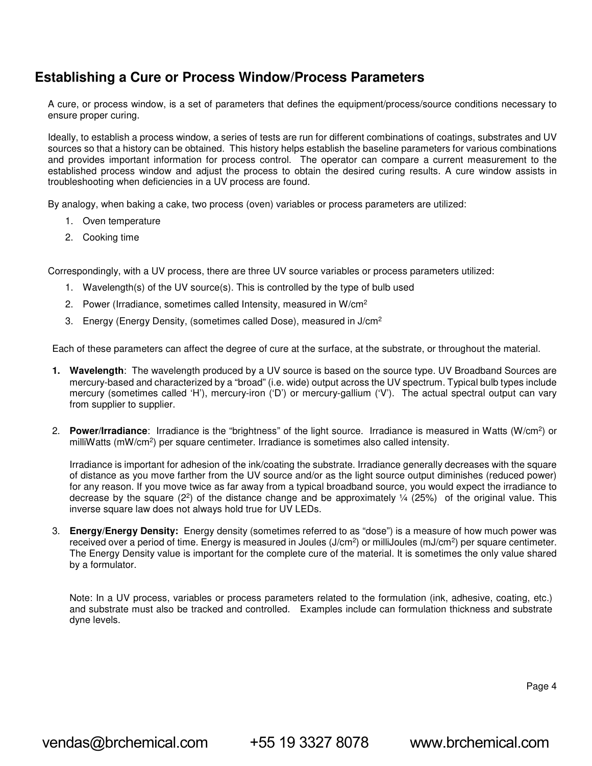# **Establishing a Cure or Process Window/Process Parameters**

A cure, or process window, is a set of parameters that defines the equipment/process/source conditions necessary to ensure proper curing.

Ideally, to establish a process window, a series of tests are run for different combinations of coatings, substrates and UV sources so that a history can be obtained. This history helps establish the baseline parameters for various combinations and provides important information for process control. The operator can compare a current measurement to the established process window and adjust the process to obtain the desired curing results. A cure window assists in troubleshooting when deficiencies in a UV process are found.

By analogy, when baking a cake, two process (oven) variables or process parameters are utilized:

- 1. Oven temperature
- 2. Cooking time

Correspondingly, with a UV process, there are three UV source variables or process parameters utilized:

- 1. Wavelength(s) of the UV source(s). This is controlled by the type of bulb used
- 2. Power (Irradiance, sometimes called Intensity, measured in W/cm<sup>2</sup>
- 3. Energy (Energy Density, (sometimes called Dose), measured in J/cm<sup>2</sup>

Each of these parameters can affect the degree of cure at the surface, at the substrate, or throughout the material.

- **1. Wavelength**: The wavelength produced by a UV source is based on the source type. UV Broadband Sources are mercury-based and characterized by a "broad" (i.e. wide) output across the UV spectrum. Typical bulb types include mercury (sometimes called 'H'), mercury-iron ('D') or mercury-gallium ('V'). The actual spectral output can vary from supplier to supplier.
- 2. Power/Irradiance: Irradiance is the "brightness" of the light source. Irradiance is measured in Watts (W/cm<sup>2</sup>) or milliWatts (mW/cm<sup>2</sup>) per square centimeter. Irradiance is sometimes also called intensity.

Irradiance is important for adhesion of the ink/coating the substrate. Irradiance generally decreases with the square of distance as you move farther from the UV source and/or as the light source output diminishes (reduced power) for any reason. If you move twice as far away from a typical broadband source, you would expect the irradiance to decrease by the square ( $2^2$ ) of the distance change and be approximately  $\frac{1}{4}$  ( $25\%$ ) of the original value. This inverse square law does not always hold true for UV LEDs.

3. **Energy/Energy Density:** Energy density (sometimes referred to as "dose") is a measure of how much power was received over a period of time. Energy is measured in Joules (J/cm<sup>2</sup>) or milliJoules (mJ/cm<sup>2</sup>) per square centimeter. The Energy Density value is important for the complete cure of the material. It is sometimes the only value shared by a formulator.

Note: In a UV process, variables or process parameters related to the formulation (ink, adhesive, coating, etc.) and substrate must also be tracked and controlled. Examples include can formulation thickness and substrate dyne levels.

Page 4

vendas@brchemical.com +55 19 3327 8078 www.brchemical.com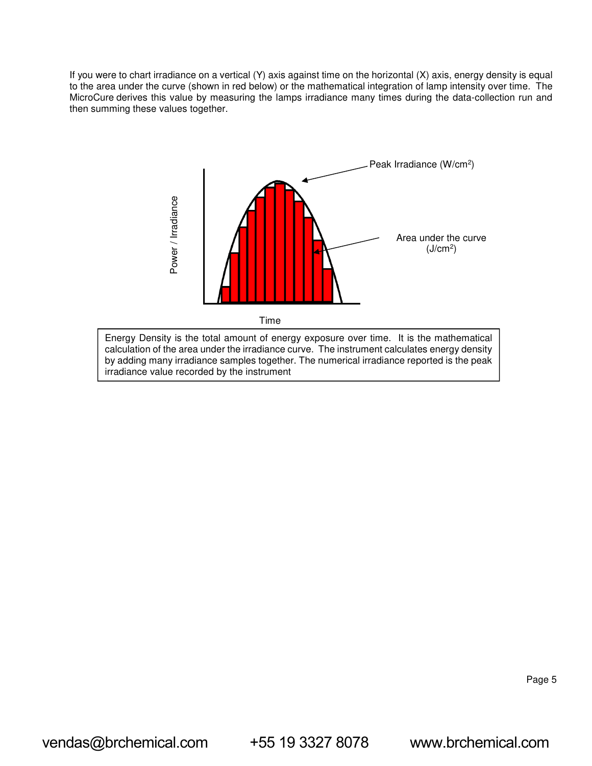If you were to chart irradiance on a vertical (Y) axis against time on the horizontal (X) axis, energy density is equal to the area under the curve (shown in red below) or the mathematical integration of lamp intensity over time. The MicroCure derives this value by measuring the lamps irradiance many times during the data-collection run and then summing these values together.



calculation of the area under the irradiance curve. The instrument calculates energy density by adding many irradiance samples together. The numerical irradiance reported is the peak irradiance value recorded by the instrument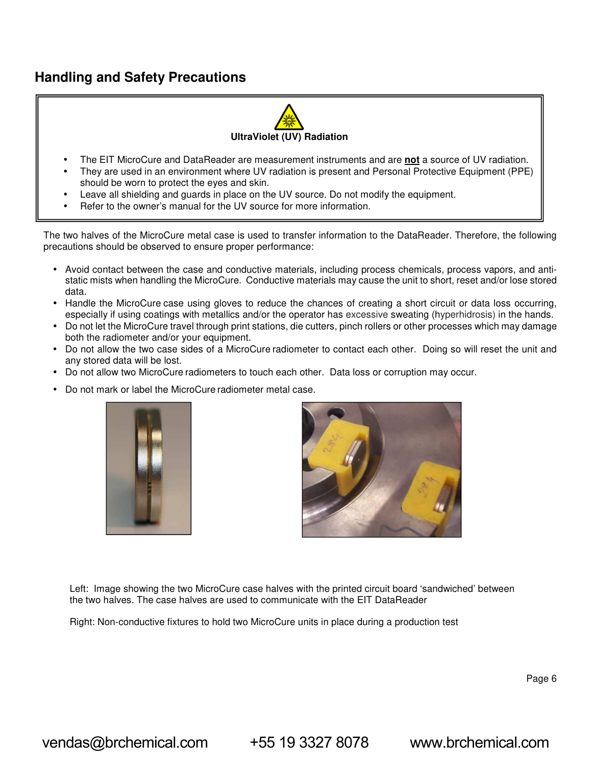# **Handling and Safety Precautions**



- The EIT MicroCure and DataReader are measurement instruments and are **not** a source of UV radiation.
- They are used in an environment where UV radiation is present and Personal Protective Equipment (PPE) should be worn to protect the eyes and skin.
- Leave all shielding and guards in place on the UV source. Do not modify the equipment.
- Refer to the owner's manual for the UV source for more information.

The two halves of the MicroCure metal case is used to transfer information to the DataReader. Therefore, the following precautions should be observed to ensure proper performance:

- Avoid contact between the case and conductive materials, including process chemicals, process vapors, and antistatic mists when handling the MicroCure. Conductive materials may cause the unit to short, reset and/or lose stored data.
- Handle the MicroCure case using gloves to reduce the chances of creating a short circuit or data loss occurring, especially if using coatings with metallics and/or the operator has excessive sweating (hyperhidrosis) in the hands.
- Do not let the MicroCure travel through print stations, die cutters, pinch rollers or other processes which may damage both the radiometer and/or your equipment.
- Do not allow the two case sides of a MicroCure radiometer to contact each other. Doing so will reset the unit and any stored data will be lost.
- Do not allow two MicroCure radiometers to touch each other. Data loss or corruption may occur.
- Do not mark or label the MicroCure radiometer metal case.





Left: Image showing the two MicroCure case halves with the printed circuit board 'sandwiched' between the two halves. The case halves are used to communicate with the EIT DataReader

Right: Non-conductive fixtures to hold two MicroCure units in place during a production test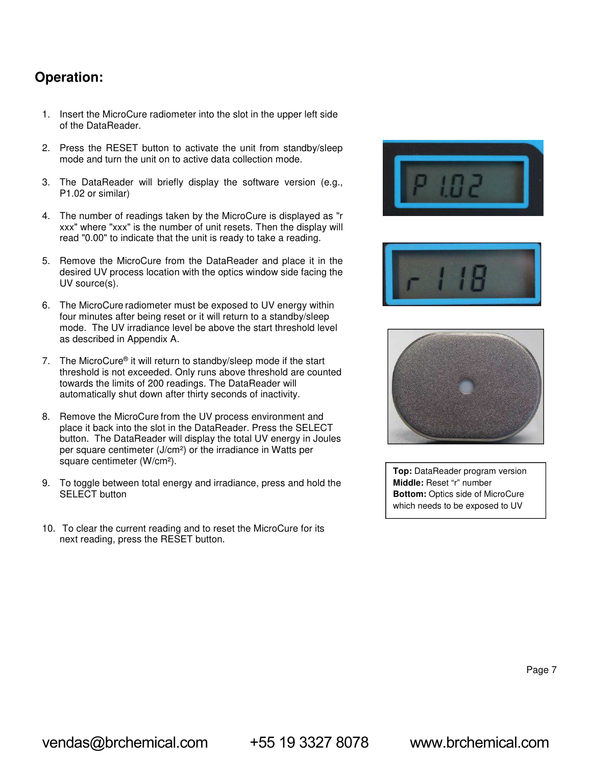# **Operation:**

- 1. Insert the MicroCure radiometer into the slot in the upper left side of the DataReader.
- 2. Press the RESET button to activate the unit from standby/sleep mode and turn the unit on to active data collection mode.
- 3. The DataReader will briefly display the software version (e.g., P1.02 or similar)
- 4. The number of readings taken by the MicroCure is displayed as "r xxx" where "xxx" is the number of unit resets. Then the display will read "0.00" to indicate that the unit is ready to take a reading.
- 5. Remove the MicroCure from the DataReader and place it in the desired UV process location with the optics window side facing the UV source(s).
- 6. The MicroCure radiometer must be exposed to UV energy within four minutes after being reset or it will return to a standby/sleep mode. The UV irradiance level be above the start threshold level as described in Appendix A.
- 7. The MicroCure® it will return to standby/sleep mode if the start threshold is not exceeded. Only runs above threshold are counted towards the limits of 200 readings. The DataReader will automatically shut down after thirty seconds of inactivity.
- 8. Remove the MicroCure from the UV process environment and place it back into the slot in the DataReader. Press the SELECT button. The DataReader will display the total UV energy in Joules per square centimeter (J/cm²) or the irradiance in Watts per square centimeter (W/cm²).
- 9. To toggle between total energy and irradiance, press and hold the SELECT button
- 10. To clear the current reading and to reset the MicroCure for its next reading, press the RESET button.







**Top:** DataReader program version **Middle:** Reset "r" number **Bottom:** Optics side of MicroCure which needs to be exposed to UV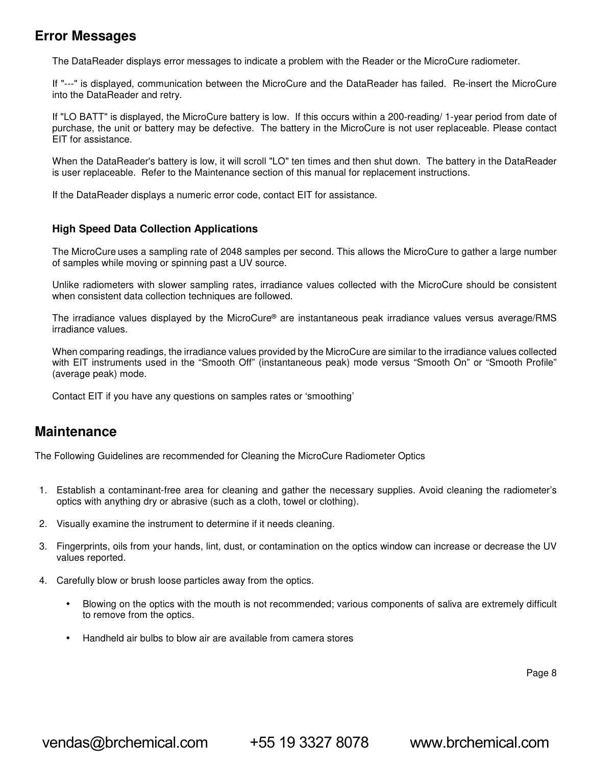# **Error Messages**

The DataReader displays error messages to indicate a problem with the Reader or the MicroCure radiometer.

If "---" is displayed, communication between the MicroCure and the DataReader has failed. Re-insert the MicroCure into the DataReader and retry.

If "LO BATT" is displayed, the MicroCure battery is low. If this occurs within a 200-reading/ 1-year period from date of purchase, the unit or battery may be defective. The battery in the MicroCure is not user replaceable. Please contact EIT for assistance.

When the DataReader's battery is low, it will scroll "LO" ten times and then shut down. The battery in the DataReader is user replaceable. Refer to the Maintenance section of this manual for replacement instructions.

If the DataReader displays a numeric error code, contact EIT for assistance.

## **High Speed Data Collection Applications**

The MicroCure uses a sampling rate of 2048 samples per second. This allows the MicroCure to gather a large number of samples while moving or spinning past a UV source.

Unlike radiometers with slower sampling rates, irradiance values collected with the MicroCure should be consistent when consistent data collection techniques are followed.

The irradiance values displayed by the MicroCure® are instantaneous peak irradiance values versus average/RMS irradiance values.

When comparing readings, the irradiance values provided by the MicroCure are similar to the irradiance values collected with EIT instruments used in the "Smooth Off" (instantaneous peak) mode versus "Smooth On" or "Smooth Profile" (average peak) mode.

Contact EIT if you have any questions on samples rates or 'smoothing'

# **Maintenance**

The Following Guidelines are recommended for Cleaning the MicroCure Radiometer Optics

- 1. Establish a contaminant-free area for cleaning and gather the necessary supplies. Avoid cleaning the radiometer's optics with anything dry or abrasive (such as a cloth, towel or clothing).
- 2. Visually examine the instrument to determine if it needs cleaning.
- 3. Fingerprints, oils from your hands, lint, dust, or contamination on the optics window can increase or decrease the UV values reported.
- 4. Carefully blow or brush loose particles away from the optics.
	- Blowing on the optics with the mouth is not recommended; various components of saliva are extremely difficult to remove from the optics.
	- Handheld air bulbs to blow air are available from camera stores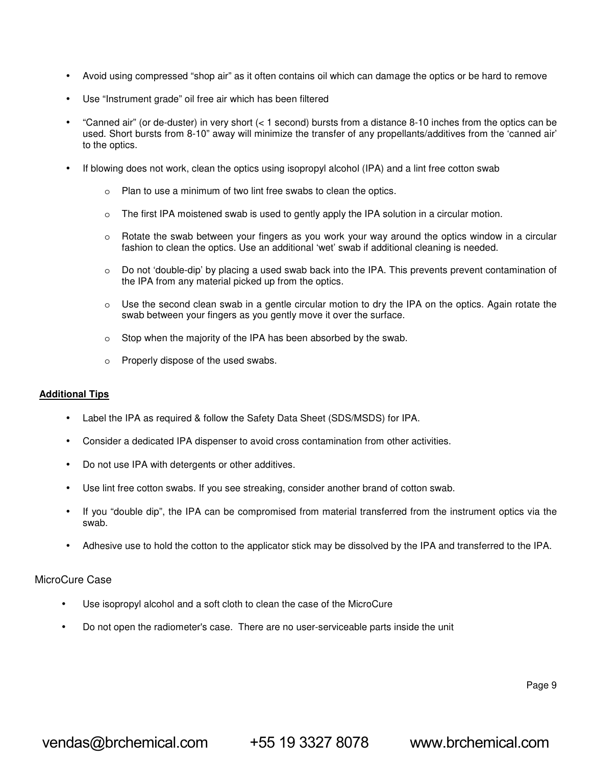- Avoid using compressed "shop air" as it often contains oil which can damage the optics or be hard to remove
- Use "Instrument grade" oil free air which has been filtered
- "Canned air" (or de-duster) in very short (< 1 second) bursts from a distance 8-10 inches from the optics can be used. Short bursts from 8-10" away will minimize the transfer of any propellants/additives from the 'canned air' to the optics.
- If blowing does not work, clean the optics using isopropyl alcohol (IPA) and a lint free cotton swab
	- o Plan to use a minimum of two lint free swabs to clean the optics.
	- $\circ$  The first IPA moistened swab is used to gently apply the IPA solution in a circular motion.
	- $\circ$  Rotate the swab between your fingers as you work your way around the optics window in a circular fashion to clean the optics. Use an additional 'wet' swab if additional cleaning is needed.
	- $\circ$  Do not 'double-dip' by placing a used swab back into the IPA. This prevents prevent contamination of the IPA from any material picked up from the optics.
	- $\circ$  Use the second clean swab in a gentle circular motion to dry the IPA on the optics. Again rotate the swab between your fingers as you gently move it over the surface.
	- o Stop when the majority of the IPA has been absorbed by the swab.
	- o Properly dispose of the used swabs.

## **Additional Tips**

- Label the IPA as required & follow the Safety Data Sheet (SDS/MSDS) for IPA.
- Consider a dedicated IPA dispenser to avoid cross contamination from other activities.
- Do not use IPA with detergents or other additives.
- Use lint free cotton swabs. If you see streaking, consider another brand of cotton swab.
- If you "double dip", the IPA can be compromised from material transferred from the instrument optics via the swab.
- Adhesive use to hold the cotton to the applicator stick may be dissolved by the IPA and transferred to the IPA.

## MicroCure Case

- Use isopropyl alcohol and a soft cloth to clean the case of the MicroCure
- Do not open the radiometer's case. There are no user-serviceable parts inside the unit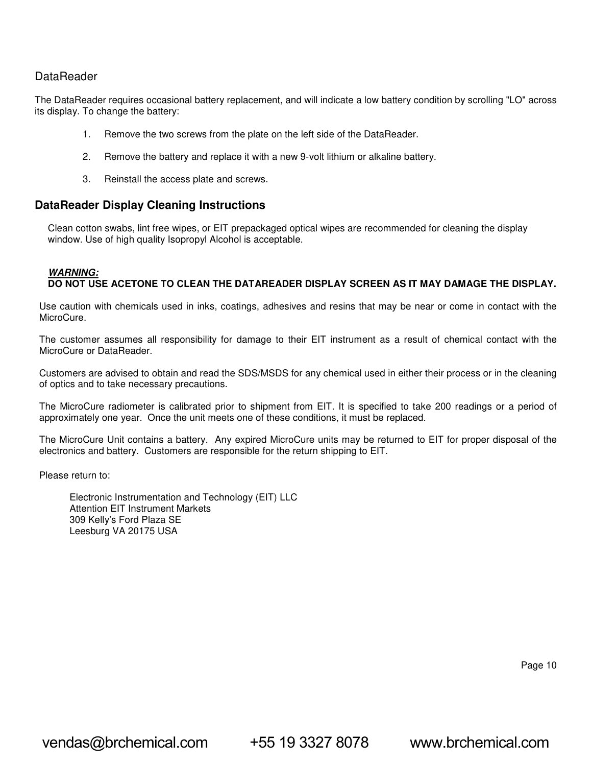## **DataReader**

The DataReader requires occasional battery replacement, and will indicate a low battery condition by scrolling "LO" across its display. To change the battery:

- 1. Remove the two screws from the plate on the left side of the DataReader.
- 2. Remove the battery and replace it with a new 9-volt lithium or alkaline battery.
- 3. Reinstall the access plate and screws.

## **DataReader Display Cleaning Instructions**

Clean cotton swabs, lint free wipes, or EIT prepackaged optical wipes are recommended for cleaning the display window. Use of high quality Isopropyl Alcohol is acceptable.

## **WARNING: DO NOT USE ACETONE TO CLEAN THE DATAREADER DISPLAY SCREEN AS IT MAY DAMAGE THE DISPLAY.**

Use caution with chemicals used in inks, coatings, adhesives and resins that may be near or come in contact with the MicroCure.

The customer assumes all responsibility for damage to their EIT instrument as a result of chemical contact with the MicroCure or DataReader.

Customers are advised to obtain and read the SDS/MSDS for any chemical used in either their process or in the cleaning of optics and to take necessary precautions.

The MicroCure radiometer is calibrated prior to shipment from EIT. It is specified to take 200 readings or a period of approximately one year. Once the unit meets one of these conditions, it must be replaced.

The MicroCure Unit contains a battery. Any expired MicroCure units may be returned to EIT for proper disposal of the electronics and battery. Customers are responsible for the return shipping to EIT.

Please return to:

Electronic Instrumentation and Technology (EIT) LLC Attention EIT Instrument Markets 309 Kelly's Ford Plaza SE Leesburg VA 20175 USA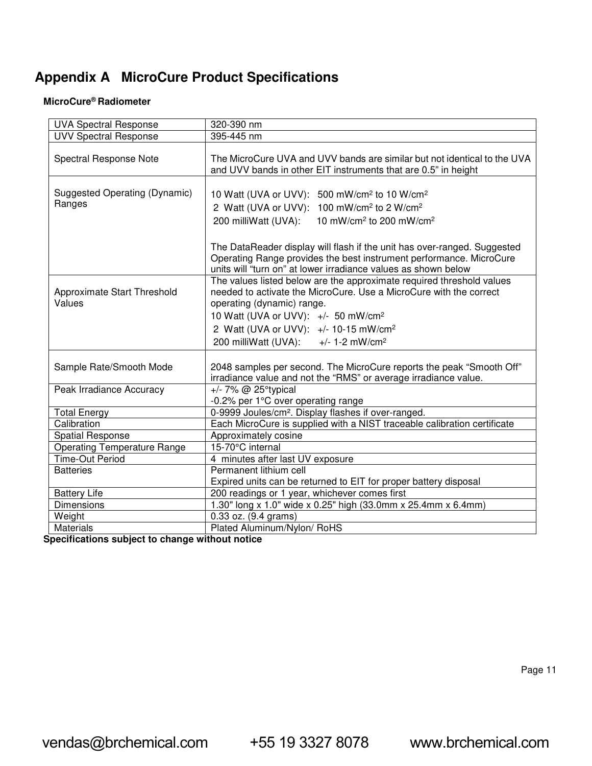# **Appendix A MicroCure Product Specifications**

## **MicroCure® Radiometer**

| <b>UVA Spectral Response</b>            | 320-390 nm                                                                                                                                                                                                                   |
|-----------------------------------------|------------------------------------------------------------------------------------------------------------------------------------------------------------------------------------------------------------------------------|
| <b>UVV Spectral Response</b>            | 395-445 nm                                                                                                                                                                                                                   |
| Spectral Response Note                  | The MicroCure UVA and UVV bands are similar but not identical to the UVA<br>and UVV bands in other EIT instruments that are 0.5" in height                                                                                   |
| Suggested Operating (Dynamic)<br>Ranges | 10 Watt (UVA or UVV): 500 mW/cm <sup>2</sup> to 10 W/cm <sup>2</sup><br>2 Watt (UVA or UVV): 100 mW/cm <sup>2</sup> to 2 W/cm <sup>2</sup><br>200 milliWatt (UVA):<br>10 mW/cm <sup>2</sup> to 200 mW/cm <sup>2</sup>        |
|                                         | The DataReader display will flash if the unit has over-ranged. Suggested<br>Operating Range provides the best instrument performance. MicroCure<br>units will "turn on" at lower irradiance values as shown below            |
| Approximate Start Threshold<br>Values   | The values listed below are the approximate required threshold values<br>needed to activate the MicroCure. Use a MicroCure with the correct<br>operating (dynamic) range.<br>10 Watt (UVA or UVV): +/- 50 mW/cm <sup>2</sup> |
|                                         | 2 Watt (UVA or UVV): +/- 10-15 mW/cm <sup>2</sup><br>200 milliWatt (UVA):<br>$+/- 1-2$ mW/cm <sup>2</sup>                                                                                                                    |
| Sample Rate/Smooth Mode                 | 2048 samples per second. The MicroCure reports the peak "Smooth Off"<br>irradiance value and not the "RMS" or average irradiance value.                                                                                      |
| Peak Irradiance Accuracy                | +/- 7% @ 25°typical<br>-0.2% per 1°C over operating range                                                                                                                                                                    |
| <b>Total Energy</b>                     | 0-9999 Joules/cm <sup>2</sup> . Display flashes if over-ranged.                                                                                                                                                              |
| Calibration                             | Each MicroCure is supplied with a NIST traceable calibration certificate                                                                                                                                                     |
| <b>Spatial Response</b>                 | Approximately cosine                                                                                                                                                                                                         |
| <b>Operating Temperature Range</b>      | 15-70°C internal                                                                                                                                                                                                             |
| <b>Time-Out Period</b>                  | 4 minutes after last UV exposure                                                                                                                                                                                             |
| <b>Batteries</b>                        | Permanent lithium cell<br>Expired units can be returned to EIT for proper battery disposal                                                                                                                                   |
| <b>Battery Life</b>                     | 200 readings or 1 year, whichever comes first                                                                                                                                                                                |
| Dimensions                              | 1.30" long x 1.0" wide x 0.25" high (33.0mm x 25.4mm x 6.4mm)                                                                                                                                                                |
| Weight                                  | 0.33 oz. (9.4 grams)                                                                                                                                                                                                         |
| <b>Materials</b>                        | Plated Aluminum/Nylon/ RoHS                                                                                                                                                                                                  |

**Specifications subject to change without notice**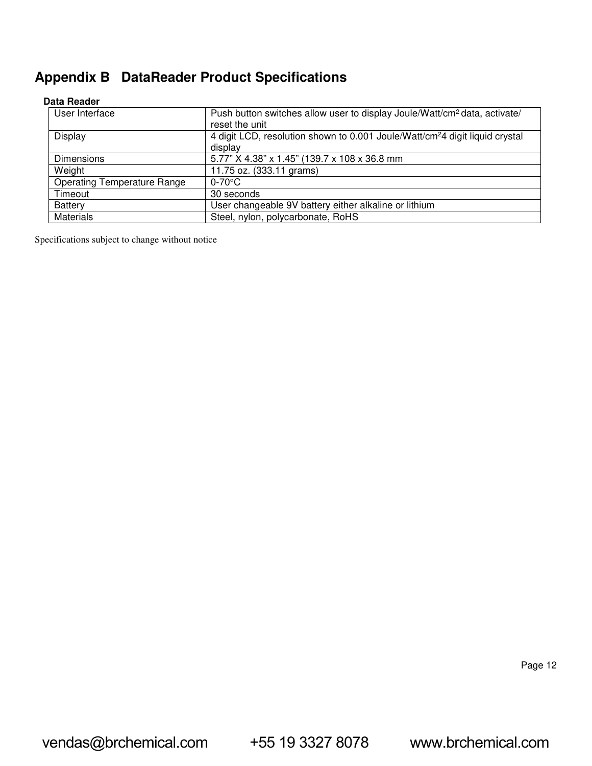# **Appendix B DataReader Product Specifications**

## **Data Reader**

| User Interface                     | Push button switches allow user to display Joule/Watt/cm <sup>2</sup> data, activate/<br>reset the unit |
|------------------------------------|---------------------------------------------------------------------------------------------------------|
| Display                            | 4 digit LCD, resolution shown to 0.001 Joule/Watt/cm <sup>2</sup> 4 digit liquid crystal<br>display     |
| <b>Dimensions</b>                  | 5.77" X 4.38" x 1.45" (139.7 x 108 x 36.8 mm                                                            |
| Weight                             | 11.75 oz. (333.11 grams)                                                                                |
| <b>Operating Temperature Range</b> | $0-70$ °C                                                                                               |
| Timeout                            | 30 seconds                                                                                              |
| Battery                            | User changeable 9V battery either alkaline or lithium                                                   |
| <b>Materials</b>                   | Steel, nylon, polycarbonate, RoHS                                                                       |

Specifications subject to change without notice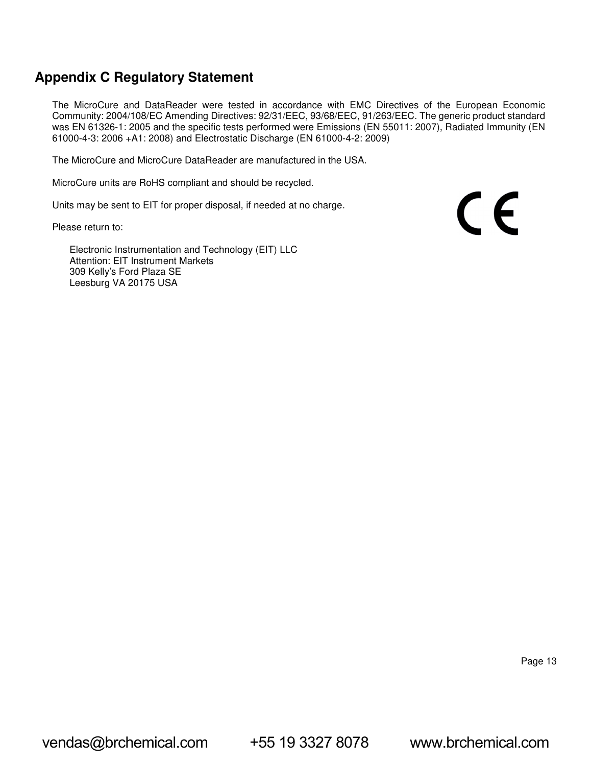# **Appendix C Regulatory Statement**

The MicroCure and DataReader were tested in accordance with EMC Directives of the European Economic Community: 2004/108/EC Amending Directives: 92/31/EEC, 93/68/EEC, 91/263/EEC. The generic product standard was EN 61326-1: 2005 and the specific tests performed were Emissions (EN 55011: 2007), Radiated Immunity (EN 61000-4-3: 2006 +A1: 2008) and Electrostatic Discharge (EN 61000-4-2: 2009)

The MicroCure and MicroCure DataReader are manufactured in the USA.

MicroCure units are RoHS compliant and should be recycled.

Units may be sent to EIT for proper disposal, if needed at no charge.

Please return to:

Electronic Instrumentation and Technology (EIT) LLC Attention: EIT Instrument Markets 309 Kelly's Ford Plaza SE Leesburg VA 20175 USA

Page 13

CE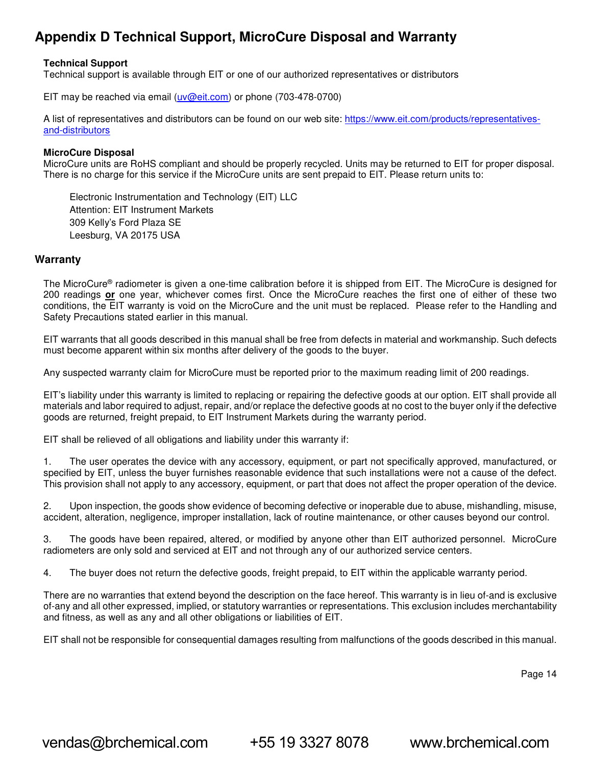# **Appendix D Technical Support, MicroCure Disposal and Warranty**

## **Technical Support**

Technical support is available through EIT or one of our authorized representatives or distributors

EIT may be reached via email (uv@eit.com) or phone (703-478-0700)

A list of representatives and distributors can be found on our web site: https://www.eit.com/products/representativesand-distributors

#### **MicroCure Disposal**

MicroCure units are RoHS compliant and should be properly recycled. Units may be returned to EIT for proper disposal. There is no charge for this service if the MicroCure units are sent prepaid to EIT. Please return units to:

Electronic Instrumentation and Technology (EIT) LLC Attention: EIT Instrument Markets 309 Kelly's Ford Plaza SE Leesburg, VA 20175 USA

## **Warranty**

The MicroCure® radiometer is given a one-time calibration before it is shipped from EIT. The MicroCure is designed for 200 readings **or** one year, whichever comes first. Once the MicroCure reaches the first one of either of these two conditions, the EIT warranty is void on the MicroCure and the unit must be replaced. Please refer to the Handling and Safety Precautions stated earlier in this manual.

EIT warrants that all goods described in this manual shall be free from defects in material and workmanship. Such defects must become apparent within six months after delivery of the goods to the buyer.

Any suspected warranty claim for MicroCure must be reported prior to the maximum reading limit of 200 readings.

EIT's liability under this warranty is limited to replacing or repairing the defective goods at our option. EIT shall provide all materials and labor required to adjust, repair, and/or replace the defective goods at no cost to the buyer only if the defective goods are returned, freight prepaid, to EIT Instrument Markets during the warranty period.

EIT shall be relieved of all obligations and liability under this warranty if:

1. The user operates the device with any accessory, equipment, or part not specifically approved, manufactured, or specified by EIT, unless the buyer furnishes reasonable evidence that such installations were not a cause of the defect. This provision shall not apply to any accessory, equipment, or part that does not affect the proper operation of the device.

2. Upon inspection, the goods show evidence of becoming defective or inoperable due to abuse, mishandling, misuse, accident, alteration, negligence, improper installation, lack of routine maintenance, or other causes beyond our control.

3. The goods have been repaired, altered, or modified by anyone other than EIT authorized personnel. MicroCure radiometers are only sold and serviced at EIT and not through any of our authorized service centers.

4. The buyer does not return the defective goods, freight prepaid, to EIT within the applicable warranty period.

There are no warranties that extend beyond the description on the face hereof. This warranty is in lieu of-and is exclusive of-any and all other expressed, implied, or statutory warranties or representations. This exclusion includes merchantability and fitness, as well as any and all other obligations or liabilities of EIT.

EIT shall not be responsible for consequential damages resulting from malfunctions of the goods described in this manual.